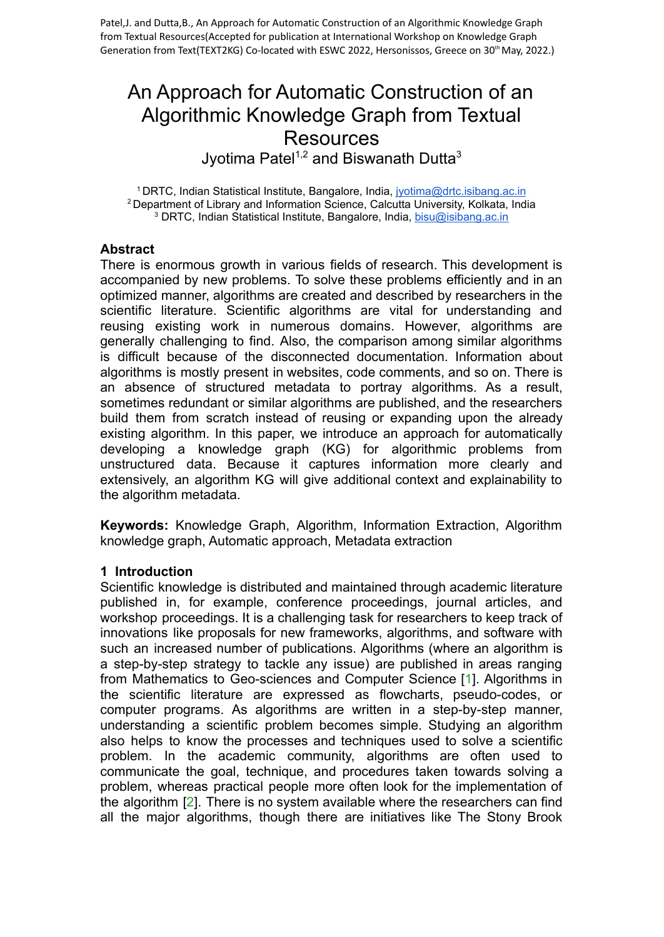# An Approach for Automatic Construction of an Algorithmic Knowledge Graph from Textual **Resources**

Jyotima Patel<sup>1,2</sup> and Biswanath Dutta<sup>3</sup>

<sup>1</sup> DRTC, Indian Statistical Institute, Bangalore, India, [jyotima@drtc.isibang.ac.in](mailto:jyotima@drtc.isibang.ac.in) <sup>2</sup> Department of Library and Information Science, Calcutta University, Kolkata, India <sup>3</sup> DRTC, Indian Statistical Institute, Bangalore, India, [bisu@isibang.ac.in](mailto:bisu@isibang.ac.in)

## **Abstract**

There is enormous growth in various fields of research. This development is accompanied by new problems. To solve these problems efficiently and in an optimized manner, algorithms are created and described by researchers in the scientific literature. Scientific algorithms are vital for understanding and reusing existing work in numerous domains. However, algorithms are generally challenging to find. Also, the comparison among similar algorithms is difficult because of the disconnected documentation. Information about algorithms is mostly present in websites, code comments, and so on. There is an absence of structured metadata to portray algorithms. As a result, sometimes redundant or similar algorithms are published, and the researchers build them from scratch instead of reusing or expanding upon the already existing algorithm. In this paper, we introduce an approach for automatically developing a knowledge graph (KG) for algorithmic problems from unstructured data. Because it captures information more clearly and extensively, an algorithm KG will give additional context and explainability to the algorithm metadata.

**Keywords:** Knowledge Graph, Algorithm, Information Extraction, Algorithm knowledge graph, Automatic approach, Metadata extraction

#### **1 Introduction**

Scientific knowledge is distributed and maintained through academic literature published in, for example, conference proceedings, journal articles, and workshop proceedings. It is a challenging task for researchers to keep track of innovations like proposals for new frameworks, algorithms, and software with such an increased number of publications. Algorithms (where an algorithm is a step-by-step strategy to tackle any issue) are published in areas ranging from Mathematics to Geo-sciences and Computer Science [1]. Algorithms in the scientific literature are expressed as flowcharts, pseudo-codes, or computer programs. As algorithms are written in a step-by-step manner, understanding a scientific problem becomes simple. Studying an algorithm also helps to know the processes and techniques used to solve a scientific problem. In the academic community, algorithms are often used to communicate the goal, technique, and procedures taken towards solving a problem, whereas practical people more often look for the implementation of the algorithm [2]. There is no system available where the researchers can find all the major algorithms, though there are initiatives like The Stony Brook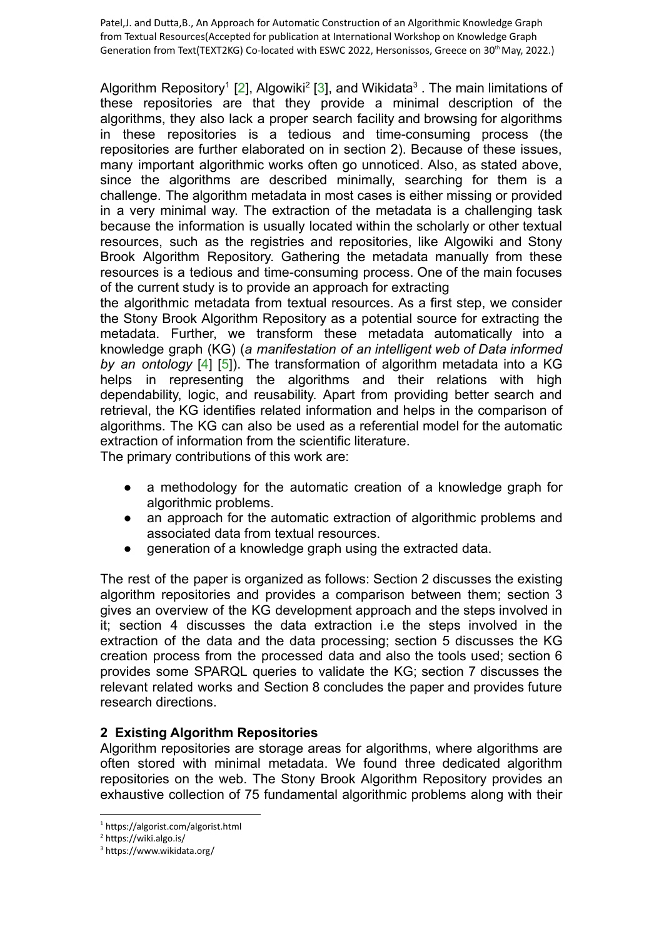Algorithm Repository<sup>1</sup> [2], Algowiki<sup>2</sup> [3], and Wikidata<sup>3</sup>. The main limitations of these repositories are that they provide a minimal description of the algorithms, they also lack a proper search facility and browsing for algorithms in these repositories is a tedious and time-consuming process (the repositories are further elaborated on in section 2). Because of these issues, many important algorithmic works often go unnoticed. Also, as stated above, since the algorithms are described minimally, searching for them is a challenge. The algorithm metadata in most cases is either missing or provided in a very minimal way. The extraction of the metadata is a challenging task because the information is usually located within the scholarly or other textual resources, such as the registries and repositories, like Algowiki and Stony Brook Algorithm Repository. Gathering the metadata manually from these resources is a tedious and time-consuming process. One of the main focuses of the current study is to provide an approach for extracting

the algorithmic metadata from textual resources. As a first step, we consider the Stony Brook Algorithm Repository as a potential source for extracting the metadata. Further, we transform these metadata automatically into a knowledge graph (KG) (*a manifestation of an intelligent web of Data informed by an ontology* [4] [5]). The transformation of algorithm metadata into a KG helps in representing the algorithms and their relations with high dependability, logic, and reusability. Apart from providing better search and retrieval, the KG identifies related information and helps in the comparison of algorithms. The KG can also be used as a referential model for the automatic extraction of information from the scientific literature.

The primary contributions of this work are:

- a methodology for the automatic creation of a knowledge graph for algorithmic problems.
- an approach for the automatic extraction of algorithmic problems and associated data from textual resources.
- generation of a knowledge graph using the extracted data.

The rest of the paper is organized as follows: Section 2 discusses the existing algorithm repositories and provides a comparison between them; section 3 gives an overview of the KG development approach and the steps involved in it; section 4 discusses the data extraction i.e the steps involved in the extraction of the data and the data processing; section 5 discusses the KG creation process from the processed data and also the tools used; section 6 provides some SPARQL queries to validate the KG; section 7 discusses the relevant related works and Section 8 concludes the paper and provides future research directions.

## **2 Existing Algorithm Repositories**

Algorithm repositories are storage areas for algorithms, where algorithms are often stored with minimal metadata. We found three dedicated algorithm repositories on the web. The Stony Brook Algorithm Repository provides an exhaustive collection of 75 fundamental algorithmic problems along with their

<sup>1</sup> https://algorist.com/algorist.html

<sup>2</sup> https://wiki.algo.is/

<sup>3</sup> https://www.wikidata.org/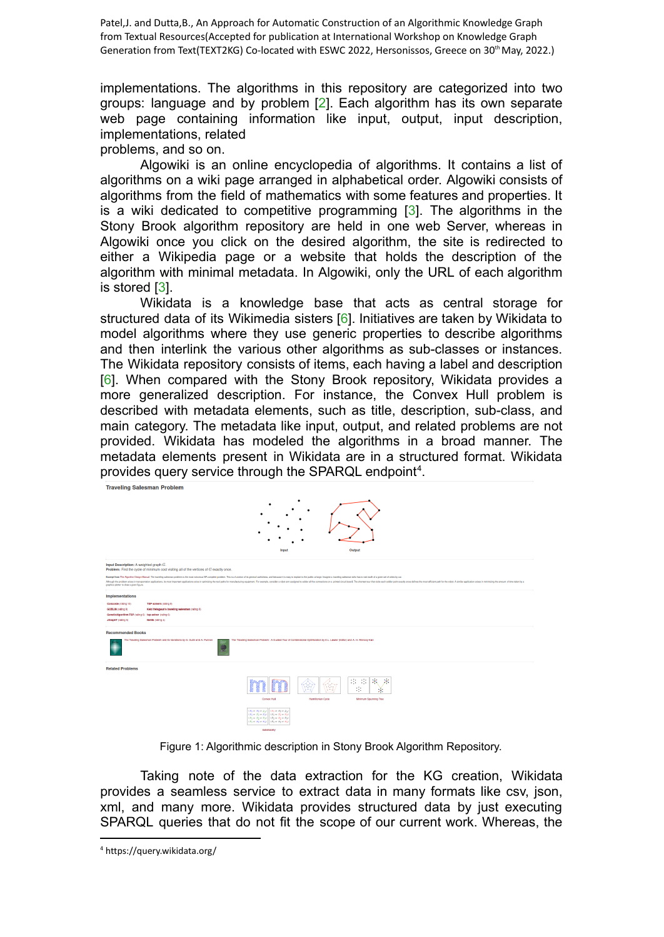implementations. The algorithms in this repository are categorized into two groups: language and by problem [2]. Each algorithm has its own separate web page containing information like input, output, input description, implementations, related

problems, and so on.

Algowiki is an online encyclopedia of algorithms. It contains a list of algorithms on a wiki page arranged in alphabetical order. Algowiki consists of algorithms from the field of mathematics with some features and properties. It is a wiki dedicated to competitive programming [3]. The algorithms in the Stony Brook algorithm repository are held in one web Server, whereas in Algowiki once you click on the desired algorithm, the site is redirected to either a Wikipedia page or a website that holds the description of the algorithm with minimal metadata. In Algowiki, only the URL of each algorithm is stored [3].

Wikidata is a knowledge base that acts as central storage for structured data of its Wikimedia sisters [6]. Initiatives are taken by Wikidata to model algorithms where they use generic properties to describe algorithms and then interlink the various other algorithms as sub-classes or instances. The Wikidata repository consists of items, each having a label and description [6]. When compared with the Stony Brook repository, Wikidata provides a more generalized description. For instance, the Convex Hull problem is described with metadata elements, such as title, description, sub-class, and main category. The metadata like input, output, and related problems are not provided. Wikidata has modeled the algorithms in a broad manner. The metadata elements present in Wikidata are in a structured format. Wikidata provides query service through the SPARQL endpoint<sup>4</sup>.

-<br>Traveling Salesman Problem



| Input Description: A weighted graph $G$ .<br>Problem: Find the cycle of minimum cost visiting all of the vertices of G exactly once.<br>Excerpt from The Algoritm Design Manual: The traveling salesman problem is the most natorious NP-complete problem. This is a function of its general usefulness, and because it is easy to explain to the public at large. Ima<br>Athough the problem arises in transportation applications, its most important applications arise in optimizing the tool paths for manulasturing equipment. For example, consider a robot arm assigned to solder all the connec<br>graphics plotter to draw a given figure. |                                                                                                                                                                                                                                                                                                                                                                                                                                                                                          |  |  |  |  |
|------------------------------------------------------------------------------------------------------------------------------------------------------------------------------------------------------------------------------------------------------------------------------------------------------------------------------------------------------------------------------------------------------------------------------------------------------------------------------------------------------------------------------------------------------------------------------------------------------------------------------------------------------|------------------------------------------------------------------------------------------------------------------------------------------------------------------------------------------------------------------------------------------------------------------------------------------------------------------------------------------------------------------------------------------------------------------------------------------------------------------------------------------|--|--|--|--|
| <b>Implementations</b><br>Concorde (rating 10)<br>GOBLIN (rating 9)<br>GeneticAlgorithm-TSP (rating 6) tsp-solver (rating 6)<br><b>JGraphT</b> (rating 5)                                                                                                                                                                                                                                                                                                                                                                                                                                                                                            | TSP solvers (rating 9)<br>Keld Helsgaun's traveling salesman (rating 8)<br>Netlib (rating 4)                                                                                                                                                                                                                                                                                                                                                                                             |  |  |  |  |
| <b>Recommended Books</b><br>The Traveling Salesman Problem and its Variations by G. Gutin and A. Punnen<br>The Traveling Salesman Problem : A Guided Tour of Combinatorial Optimization by E.L. Lawler (Editor) and A. H. Rinnoov-Kan                                                                                                                                                                                                                                                                                                                                                                                                                |                                                                                                                                                                                                                                                                                                                                                                                                                                                                                          |  |  |  |  |
| <b>Related Problems</b>                                                                                                                                                                                                                                                                                                                                                                                                                                                                                                                                                                                                                              | 中中<br>K57<br>$\begin{picture}(40,40) \put(0,0){\vector(0,1){30}} \put(15,0){\vector(0,1){30}} \put(15,0){\vector(0,1){30}} \put(15,0){\vector(0,1){30}} \put(15,0){\vector(0,1){30}} \put(15,0){\vector(0,1){30}} \put(15,0){\vector(0,1){30}} \put(15,0){\vector(0,1){30}} \put(15,0){\vector(0,1){30}} \put(15,0){\vector(0,1){30}} \put(15,0){\vector(0,1){30}} \put(15,0){\vector(0$<br>÷<br>$^{\ast}$<br>$\sim$<br>Convex Hull<br><b>Harritonian Cycle</b><br>Minimum Spanning Tree |  |  |  |  |
|                                                                                                                                                                                                                                                                                                                                                                                                                                                                                                                                                                                                                                                      | $\left(\textit{\textbf{x}}_1 \otimes \textit{\textbf{x}}_2 \otimes \textit{\textbf{x}}_3) \mid \right  \left(\textit{\textbf{x}}_1 \otimes \textit{\textbf{x}}_2 \otimes \textit{\textbf{x}}_3\right)$<br>$(x_1 - x_2 - x_3)$ $(x_1 - x_2 - x_3)$<br>$\{\tilde{x}_1=\tilde{x}_2=\tilde{x}_3\}\parallel (\tilde{x}_1=\tilde{x}_2=\tilde{x}_3)$                                                                                                                                            |  |  |  |  |

Figure 1: Algorithmic description in Stony Brook Algorithm Repository.

Taking note of the data extraction for the KG creation, Wikidata provides a seamless service to extract data in many formats like csv, json, xml, and many more. Wikidata provides structured data by just executing SPARQL queries that do not fit the scope of our current work. Whereas, the

<sup>4</sup> https://query.wikidata.org/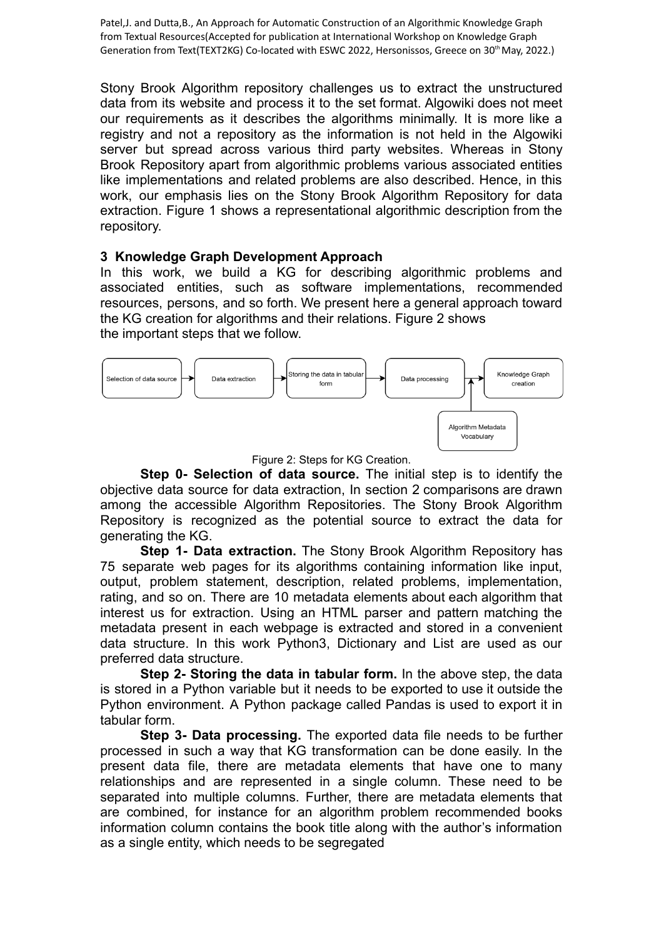Stony Brook Algorithm repository challenges us to extract the unstructured data from its website and process it to the set format. Algowiki does not meet our requirements as it describes the algorithms minimally. It is more like a registry and not a repository as the information is not held in the Algowiki server but spread across various third party websites. Whereas in Stony Brook Repository apart from algorithmic problems various associated entities like implementations and related problems are also described. Hence, in this work, our emphasis lies on the Stony Brook Algorithm Repository for data extraction. Figure 1 shows a representational algorithmic description from the repository.

## **3 Knowledge Graph Development Approach**

In this work, we build a KG for describing algorithmic problems and associated entities, such as software implementations, recommended resources, persons, and so forth. We present here a general approach toward the KG creation for algorithms and their relations. Figure 2 shows the important steps that we follow.



Figure 2: Steps for KG Creation.

**Step 0- Selection of data source.** The initial step is to identify the objective data source for data extraction, In section 2 comparisons are drawn among the accessible Algorithm Repositories. The Stony Brook Algorithm Repository is recognized as the potential source to extract the data for generating the KG.

**Step 1- Data extraction.** The Stony Brook Algorithm Repository has 75 separate web pages for its algorithms containing information like input, output, problem statement, description, related problems, implementation, rating, and so on. There are 10 metadata elements about each algorithm that interest us for extraction. Using an HTML parser and pattern matching the metadata present in each webpage is extracted and stored in a convenient data structure. In this work Python3, Dictionary and List are used as our preferred data structure.

**Step 2- Storing the data in tabular form.** In the above step, the data is stored in a Python variable but it needs to be exported to use it outside the Python environment. A Python package called Pandas is used to export it in tabular form.

**Step 3- Data processing.** The exported data file needs to be further processed in such a way that KG transformation can be done easily. In the present data file, there are metadata elements that have one to many relationships and are represented in a single column. These need to be separated into multiple columns. Further, there are metadata elements that are combined, for instance for an algorithm problem recommended books information column contains the book title along with the author's information as a single entity, which needs to be segregated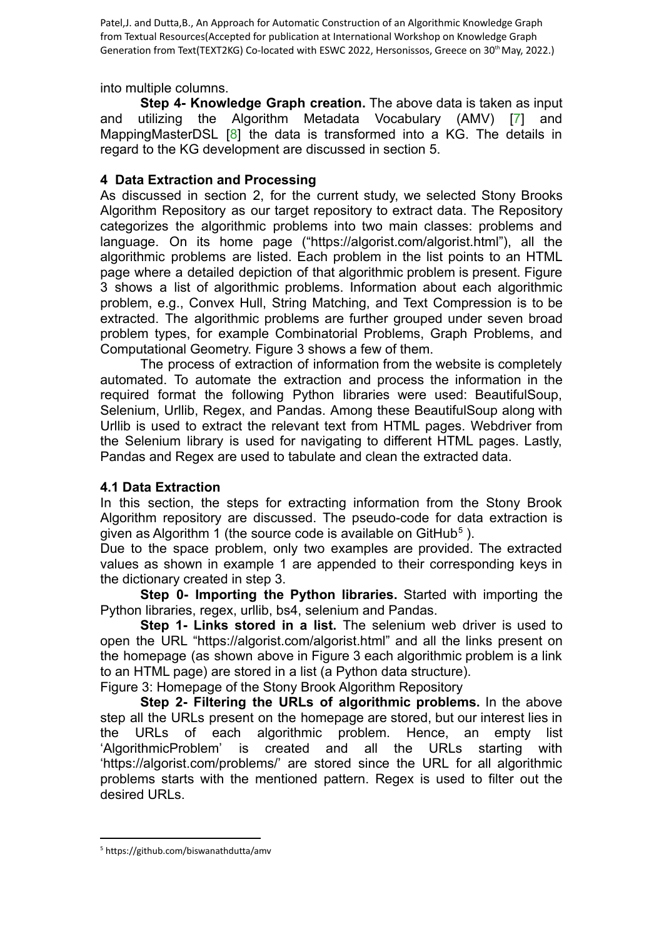into multiple columns.

**Step 4- Knowledge Graph creation.** The above data is taken as input and utilizing the Algorithm Metadata Vocabulary (AMV) [7] and MappingMasterDSL [8] the data is transformed into a KG. The details in regard to the KG development are discussed in section 5.

## **4 Data Extraction and Processing**

As discussed in section 2, for the current study, we selected Stony Brooks Algorithm Repository as our target repository to extract data. The Repository categorizes the algorithmic problems into two main classes: problems and language. On its home page ("https://algorist.com/algorist.html"), all the algorithmic problems are listed. Each problem in the list points to an HTML page where a detailed depiction of that algorithmic problem is present. Figure 3 shows a list of algorithmic problems. Information about each algorithmic problem, e.g., Convex Hull, String Matching, and Text Compression is to be extracted. The algorithmic problems are further grouped under seven broad problem types, for example Combinatorial Problems, Graph Problems, and Computational Geometry. Figure 3 shows a few of them.

The process of extraction of information from the website is completely automated. To automate the extraction and process the information in the required format the following Python libraries were used: BeautifulSoup, Selenium, Urllib, Regex, and Pandas. Among these BeautifulSoup along with Urllib is used to extract the relevant text from HTML pages. Webdriver from the Selenium library is used for navigating to different HTML pages. Lastly, Pandas and Regex are used to tabulate and clean the extracted data.

## **4.1 Data Extraction**

In this section, the steps for extracting information from the Stony Brook Algorithm repository are discussed. The pseudo-code for data extraction is given as Algorithm 1 (the source code is available on GitHub<sup>5</sup>).

Due to the space problem, only two examples are provided. The extracted values as shown in example 1 are appended to their corresponding keys in the dictionary created in step 3.

**Step 0- Importing the Python libraries.** Started with importing the Python libraries, regex, urllib, bs4, selenium and Pandas.

**Step 1- Links stored in a list.** The selenium web driver is used to open the URL "https://algorist.com/algorist.html" and all the links present on the homepage (as shown above in Figure 3 each algorithmic problem is a link to an HTML page) are stored in a list (a Python data structure).

Figure 3: Homepage of the Stony Brook Algorithm Repository

**Step 2- Filtering the URLs of algorithmic problems.** In the above step all the URLs present on the homepage are stored, but our interest lies in the URLs of each algorithmic problem. Hence, an empty list 'AlgorithmicProblem' is created and all the URLs starting with 'https://algorist.com/problems/' are stored since the URL for all algorithmic problems starts with the mentioned pattern. Regex is used to filter out the desired URLs.

<sup>5</sup> https://github.com/biswanathdutta/amv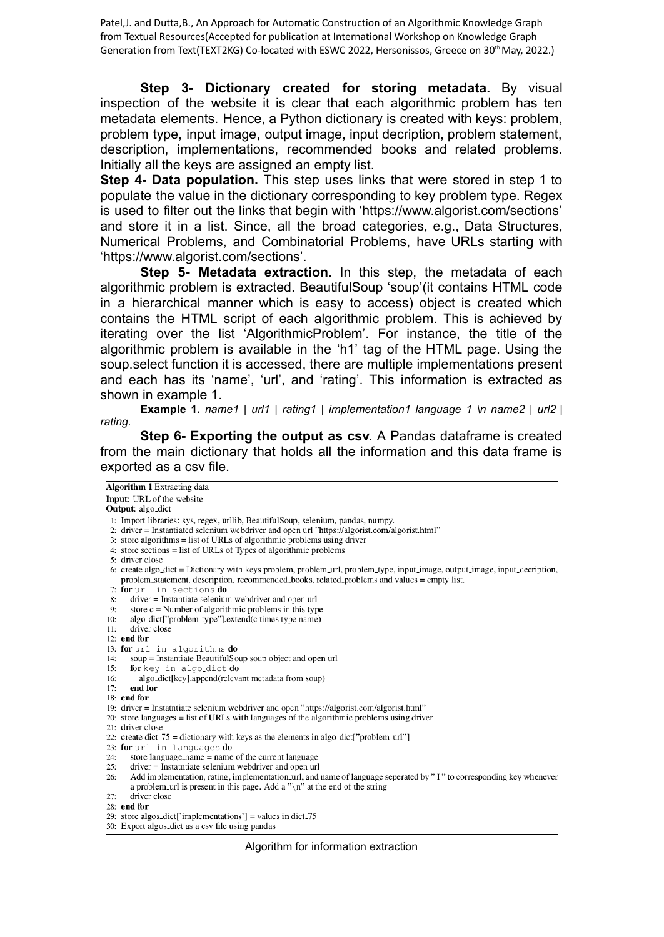**Step 3- Dictionary created for storing metadata.** By visual inspection of the website it is clear that each algorithmic problem has ten metadata elements. Hence, a Python dictionary is created with keys: problem, problem type, input image, output image, input decription, problem statement, description, implementations, recommended books and related problems. Initially all the keys are assigned an empty list.

**Step 4- Data population.** This step uses links that were stored in step 1 to populate the value in the dictionary corresponding to key problem type. Regex is used to filter out the links that begin with 'https://www.algorist.com/sections' and store it in a list. Since, all the broad categories, e.g., Data Structures, Numerical Problems, and Combinatorial Problems, have URLs starting with 'https://www.algorist.com/sections'.

**Step 5- Metadata extraction.** In this step, the metadata of each algorithmic problem is extracted. BeautifulSoup 'soup'(it contains HTML code in a hierarchical manner which is easy to access) object is created which contains the HTML script of each algorithmic problem. This is achieved by iterating over the list 'AlgorithmicProblem'. For instance, the title of the algorithmic problem is available in the 'h1' tag of the HTML page. Using the soup.select function it is accessed, there are multiple implementations present and each has its 'name', 'url', and 'rating'. This information is extracted as shown in example 1.

**Example 1.** *name1 | url1 | rating1 | implementation1 language 1 \n name2 | url2 | rating.*

**Step 6- Exporting the output as csv.** A Pandas dataframe is created from the main dictionary that holds all the information and this data frame is exported as a csv file.

| <b>Algorithm 1</b> Extracting data                                                                                          |  |  |  |  |
|-----------------------------------------------------------------------------------------------------------------------------|--|--|--|--|
| <b>Input:</b> URL of the website                                                                                            |  |  |  |  |
| <b>Output:</b> algo <sub>dict</sub>                                                                                         |  |  |  |  |
| 1: Import libraries: sys, regex, urllib, BeautifulSoup, selenium, pandas, numpy.                                            |  |  |  |  |
| 2. driver = Instantiated selenium webdriver and open url "https://algorist.com/algorist.html"                               |  |  |  |  |
| 3: store algorithms = list of URLs of algorithmic problems using driver                                                     |  |  |  |  |
| 4: store sections $=$ list of URLs of Types of algorithmic problems                                                         |  |  |  |  |
| 5: driver close                                                                                                             |  |  |  |  |
| 6: create algo_dict = Dictionary with keys problem, problem_url, problem_type, input_image, output_image, input_decription, |  |  |  |  |
| problem_statement, description, recommended_books, related_problems and values = empty list.                                |  |  |  |  |
| 7: for url in sections do                                                                                                   |  |  |  |  |
| driver = Instantiate selenium webdriver and open url<br>8:                                                                  |  |  |  |  |
| store $c =$ Number of algorithmic problems in this type<br>9:                                                               |  |  |  |  |
| algo_dict["problem_type"].extend(c times type name)<br>10:                                                                  |  |  |  |  |
| driver close<br>11:                                                                                                         |  |  |  |  |
| $12:$ end for                                                                                                               |  |  |  |  |
| 13: for url in algorithms do                                                                                                |  |  |  |  |
| soup = Instantiate BeautifulSoup soup object and open url<br>14:                                                            |  |  |  |  |
| for key in algo_dict do<br>15:                                                                                              |  |  |  |  |
| algo_dict[key].append(relevant metadata from soup)<br>16:                                                                   |  |  |  |  |
| end for<br>17:                                                                                                              |  |  |  |  |
| $18:$ end for                                                                                                               |  |  |  |  |
| 19: driver = Instatutiate selenium webdriver and open "https://algorist.com/algorist.html"                                  |  |  |  |  |
| 20: store languages $=$ list of URLs with languages of the algorithmic problems using driver                                |  |  |  |  |
| 21: driver close                                                                                                            |  |  |  |  |
| 22: create dict_75 = dictionary with keys as the elements in algo_dict["problem_url"]                                       |  |  |  |  |
| 23: for url in languages do                                                                                                 |  |  |  |  |
| store language_name $=$ name of the current language<br>24:                                                                 |  |  |  |  |
| driver = Instatutiate selenium webdriver and open url<br>25:                                                                |  |  |  |  |
| Add implementation, rating, implementation_url, and name of language seperated by "I" to corresponding key whenever<br>26:  |  |  |  |  |
| a problem until is present in this page. Add a " $\n\cdot$ " at the end of the string<br>driver close                       |  |  |  |  |
| 27:                                                                                                                         |  |  |  |  |
| 28: end for                                                                                                                 |  |  |  |  |
| 29: store algos_dict['implementations'] = values in dict_75                                                                 |  |  |  |  |
| 30: Export algos_dict as a csy file using pandas                                                                            |  |  |  |  |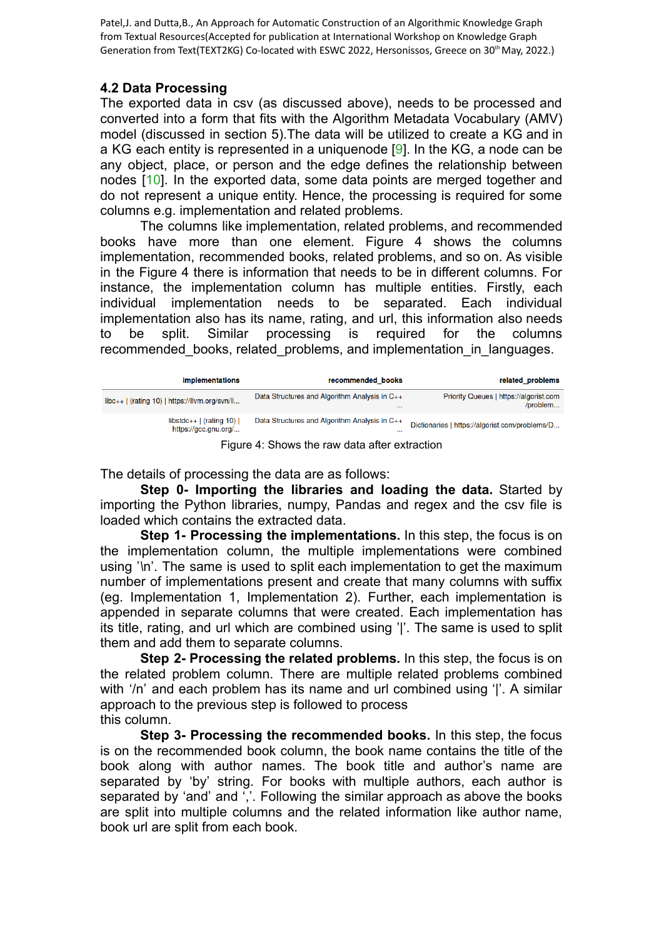## **4.2 Data Processing**

The exported data in csv (as discussed above), needs to be processed and converted into a form that fits with the Algorithm Metadata Vocabulary (AMV) model (discussed in section 5).The data will be utilized to create a KG and in a KG each entity is represented in a uniquenode [9]. In the KG, a node can be any object, place, or person and the edge defines the relationship between nodes [10]. In the exported data, some data points are merged together and do not represent a unique entity. Hence, the processing is required for some columns e.g. implementation and related problems.

The columns like implementation, related problems, and recommended books have more than one element. Figure 4 shows the columns implementation, recommended books, related problems, and so on. As visible in the Figure 4 there is information that needs to be in different columns. For instance, the implementation column has multiple entities. Firstly, each individual implementation needs to be separated. Each individual implementation also has its name, rating, and url, this information also needs to be split. Similar processing is required for the columns recommended books, related problems, and implementation in languages.

| <i>implementations</i>                                | recommended books                                         | related problems                                   |
|-------------------------------------------------------|-----------------------------------------------------------|----------------------------------------------------|
| $libc++$ (rating 10)   https://llvm.org/svn/ll        | Data Structures and Algorithm Analysis in C++<br>$\cdots$ | Priority Queues   https://algorist.com<br>/problem |
| libstdc++ $ $ (rating 10) $ $<br>https://gcc.gnu.org/ | Data Structures and Algorithm Analysis in C++<br>$\cdots$ | Dictionaries   https://algorist.com/problems/D     |

Figure 4: Shows the raw data after extraction

The details of processing the data are as follows:

**Step 0- Importing the libraries and loading the data.** Started by importing the Python libraries, numpy, Pandas and regex and the csv file is loaded which contains the extracted data.

**Step 1- Processing the implementations.** In this step, the focus is on the implementation column, the multiple implementations were combined using '*\*n'. The same is used to split each implementation to get the maximum number of implementations present and create that many columns with suffix (eg. Implementation 1, Implementation 2). Further, each implementation is appended in separate columns that were created. Each implementation has its title, rating, and url which are combined using '*|*'. The same is used to split them and add them to separate columns.

**Step 2- Processing the related problems.** In this step, the focus is on the related problem column. There are multiple related problems combined with '/n' and each problem has its name and url combined using '*|*'. A similar approach to the previous step is followed to process this column.

**Step 3- Processing the recommended books.** In this step, the focus is on the recommended book column, the book name contains the title of the book along with author names. The book title and author's name are separated by 'by' string. For books with multiple authors, each author is separated by 'and' and ','. Following the similar approach as above the books are split into multiple columns and the related information like author name, book url are split from each book.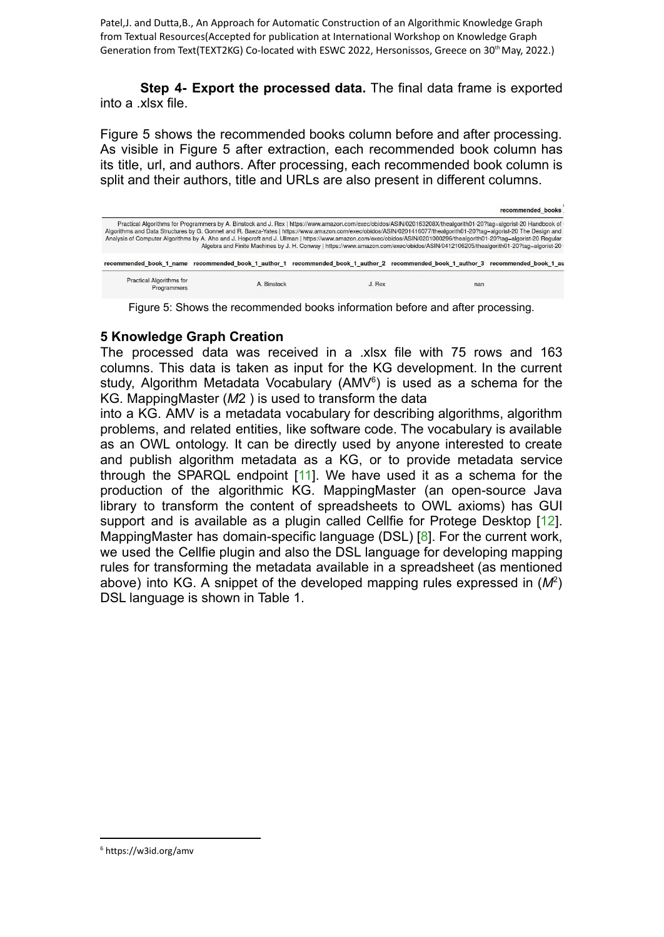**Step 4- Export the processed data.** The final data frame is exported into a .xlsx file.

Figure 5 shows the recommended books column before and after processing. As visible in Figure 5 after extraction, each recommended book column has its title, url, and authors. After processing, each recommended book column is split and their authors, title and URLs are also present in different columns.

|                                                                                                                                                                                                                                                                                                                                                                                                                                                                                                                                                                                                                                                       |                                                                                                                                   |          |     | recommended books |  |  |
|-------------------------------------------------------------------------------------------------------------------------------------------------------------------------------------------------------------------------------------------------------------------------------------------------------------------------------------------------------------------------------------------------------------------------------------------------------------------------------------------------------------------------------------------------------------------------------------------------------------------------------------------------------|-----------------------------------------------------------------------------------------------------------------------------------|----------|-----|-------------------|--|--|
| Practical Algorithms for Programmers by A. Binstock and J. Rex   https://www.amazon.com/exec/obidos/ASIN/020163208X/thealgorith01-20?tag=algorist-20 Handbook of<br>Algorithms and Data Structures by G. Gonnet and R. Baeza-Yates   https://www.amazon.com/exec/obidos/ASIN/0201416077/thealgorith01-20?tag=algorist-20 The Design and<br>Analysis of Computer Algorithms by A. Aho and J. Hopcroft and J. Ullman   https://www.amazon.com/exec/obidos/ASIN/0201000296/thealgorith01-20?tag=algorist-20 Regular<br>Algebra and Finite Machines by J. H. Conway   https://www.amazon.com/exec/obidos/ASIN/0412106205/thealgorith01-20?tag=algorist-20 |                                                                                                                                   |          |     |                   |  |  |
|                                                                                                                                                                                                                                                                                                                                                                                                                                                                                                                                                                                                                                                       | recommended book 1 name recommended book 1 author 1 recommended book 1 author 2 recommended book 1 author 3 recommended book 1 au |          |     |                   |  |  |
| <b>Practical Algorithms for</b><br>Programmers                                                                                                                                                                                                                                                                                                                                                                                                                                                                                                                                                                                                        | A. Binstock                                                                                                                       | $J.$ Rex | nan |                   |  |  |

Figure 5: Shows the recommended books information before and after processing.

#### **5 Knowledge Graph Creation**

The processed data was received in a .xlsx file with 75 rows and 163 columns. This data is taken as input for the KG development. In the current study, Algorithm Metadata Vocabulary (AMV $6$ ) is used as a schema for the KG. MappingMaster (*M*2 ) is used to transform the data

into a KG. AMV is a metadata vocabulary for describing algorithms, algorithm problems, and related entities, like software code. The vocabulary is available as an OWL ontology. It can be directly used by anyone interested to create and publish algorithm metadata as a KG, or to provide metadata service through the SPARQL endpoint [11]. We have used it as a schema for the production of the algorithmic KG. MappingMaster (an open-source Java library to transform the content of spreadsheets to OWL axioms) has GUI support and is available as a plugin called Cellfie for Protege Desktop [12]. MappingMaster has domain-specific language (DSL) [8]. For the current work, we used the Cellfie plugin and also the DSL language for developing mapping rules for transforming the metadata available in a spreadsheet (as mentioned above) into KG. A snippet of the developed mapping rules expressed in (*M*<sup>2</sup> ) DSL language is shown in Table 1.

<sup>6</sup> https://w3id.org/amv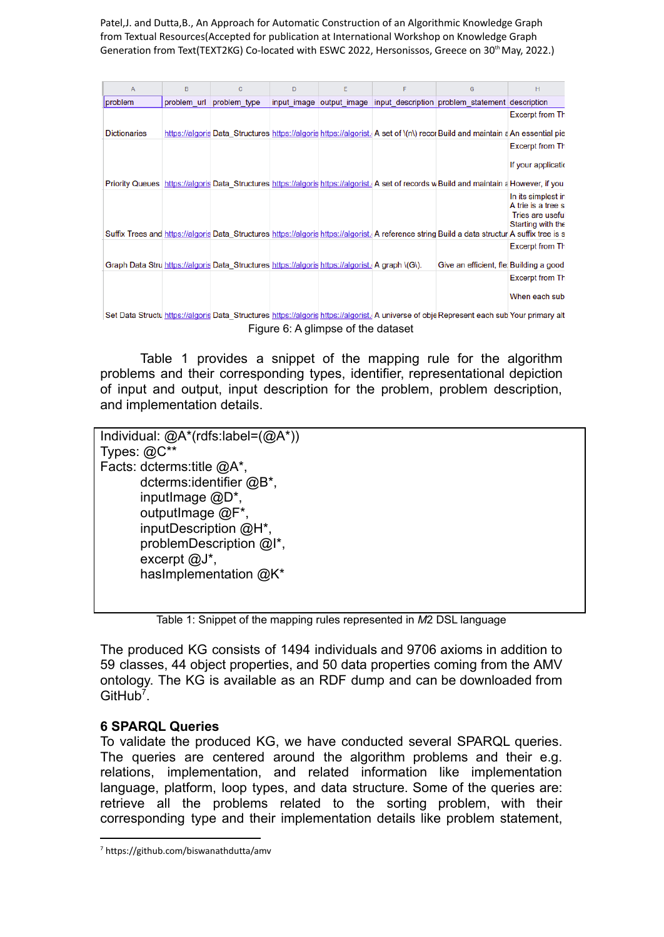| A                   | B           | $\mathbf C$                                                                                      | D | E                        | F | G                                                                                                                                              | н                                                                                         |
|---------------------|-------------|--------------------------------------------------------------------------------------------------|---|--------------------------|---|------------------------------------------------------------------------------------------------------------------------------------------------|-------------------------------------------------------------------------------------------|
| problem             | problem url | problem type                                                                                     |   | input image output image |   | input description problem statement description                                                                                                |                                                                                           |
|                     |             |                                                                                                  |   |                          |   |                                                                                                                                                | <b>Excerpt from Th</b>                                                                    |
| <b>Dictionaries</b> |             |                                                                                                  |   |                          |   | https://algorisoData Structures https://algorishttps://algorist. A set of \(n\) recor Build and maintain a An essential pie                    |                                                                                           |
|                     |             |                                                                                                  |   |                          |   |                                                                                                                                                | <b>Excerpt from Th</b>                                                                    |
|                     |             |                                                                                                  |   |                          |   |                                                                                                                                                | If your application                                                                       |
|                     |             |                                                                                                  |   |                          |   | Priority Queues https://algoris Data Structures https://algoris https://algorist. A set of records w Build and maintain a However, if you      |                                                                                           |
|                     |             |                                                                                                  |   |                          |   | Suffix Trees and https://algorisData Structures https://algorishttps://algorist. A reference string Build a data structur A suffix tree is s   | In its simplest in<br>A trie is a tree st<br><b>Tries are useful</b><br>Starting with the |
|                     |             |                                                                                                  |   |                          |   |                                                                                                                                                | <b>Excerpt from Th</b>                                                                    |
|                     |             | Graph Data Stru https://algoris Data Structures https://algoris https://algorist. A graph \(G\). |   |                          |   | Give an efficient, fle Building a good                                                                                                         |                                                                                           |
|                     |             |                                                                                                  |   |                          |   |                                                                                                                                                | <b>Excerpt from Th</b>                                                                    |
|                     |             |                                                                                                  |   |                          |   |                                                                                                                                                | When each sub:                                                                            |
|                     |             |                                                                                                  |   |                          |   | Set Data Structu https://algoris Data Structures https://algoris https://algorist. A universe of obje Represent each sub Your primary alterial |                                                                                           |

Figure 6: A glimpse of the dataset

Table 1 provides a snippet of the mapping rule for the algorithm problems and their corresponding types, identifier, representational depiction of input and output, input description for the problem, problem description, and implementation details.

Individual: @A\*(rdfs:label=(@A\*)) Types: @C\*\* Facts: dcterms:title @A\*, dcterms:identifier @B\*, inputImage @D\*, outputImage @F\*, inputDescription @H\*, problemDescription @I\*, excerpt @J\*, hasImplementation @K\*

Table 1: Snippet of the mapping rules represented in *M*2 DSL language

The produced KG consists of 1494 individuals and 9706 axioms in addition to 59 classes, 44 object properties, and 50 data properties coming from the AMV ontology. The KG is available as an RDF dump and can be downloaded from GitHub<sup>7</sup>.

## **6 SPARQL Queries**

To validate the produced KG, we have conducted several SPARQL queries. The queries are centered around the algorithm problems and their e.g. relations, implementation, and related information like implementation language, platform, loop types, and data structure. Some of the queries are: retrieve all the problems related to the sorting problem, with their corresponding type and their implementation details like problem statement,

<sup>7</sup> https://github.com/biswanathdutta/amv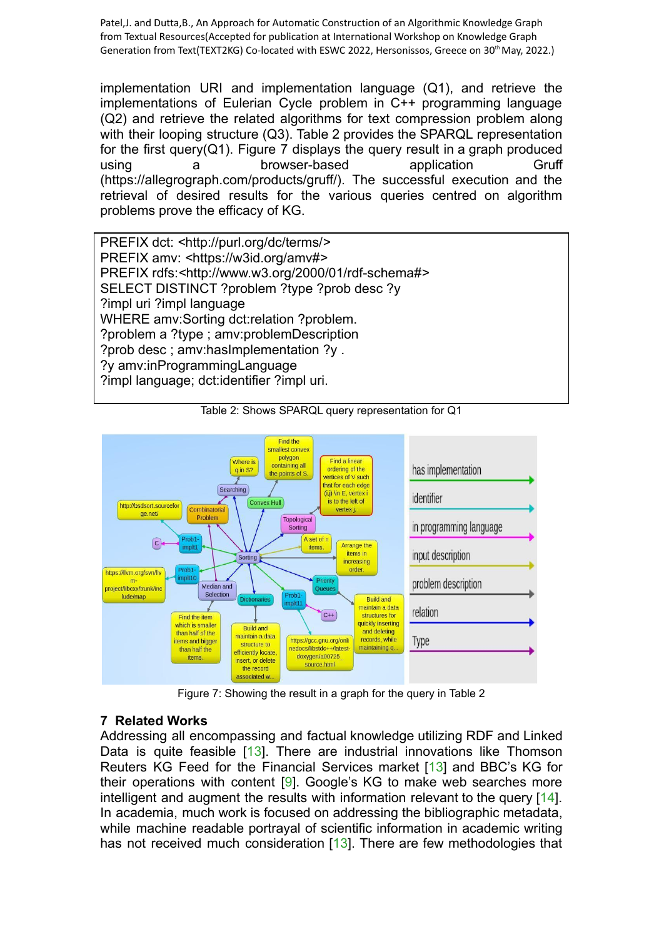implementation URI and implementation language (Q1), and retrieve the implementations of Eulerian Cycle problem in C++ programming language (Q2) and retrieve the related algorithms for text compression problem along with their looping structure (Q3). Table 2 provides the SPARQL representation for the first query( $Q_1$ ). Figure 7 displays the query result in a graph produced using a browser-based application Gruff (https://allegrograph.com/products/gruff/). The successful execution and the retrieval of desired results for the various queries centred on algorithm problems prove the efficacy of KG.

PREFIX dct: *<*http://purl.org/dc/terms/*>* PREFIX amv: *<*https://w3id.org/amv#*>* PREFIX rdfs:*<*http://www.w3.org/2000/01/rdf-schema#*>* SELECT DISTINCT ?problem ?type ?prob desc ?y ?impl uri ?impl language WHERE amv:Sorting dct:relation ?problem. ?problem a ?type ; amv:problemDescription ?prob desc ; amv:hasImplementation ?y . ?y amv:inProgrammingLanguage ?impl language; dct:identifier ?impl uri.



Table 2: Shows SPARQL query representation for Q1

Figure 7: Showing the result in a graph for the query in Table 2

## **7 Related Works**

Addressing all encompassing and factual knowledge utilizing RDF and Linked Data is quite feasible [13]. There are industrial innovations like Thomson Reuters KG Feed for the Financial Services market [13] and BBC's KG for their operations with content [9]. Google's KG to make web searches more intelligent and augment the results with information relevant to the query [14]. In academia, much work is focused on addressing the bibliographic metadata, while machine readable portrayal of scientific information in academic writing has not received much consideration [13]. There are few methodologies that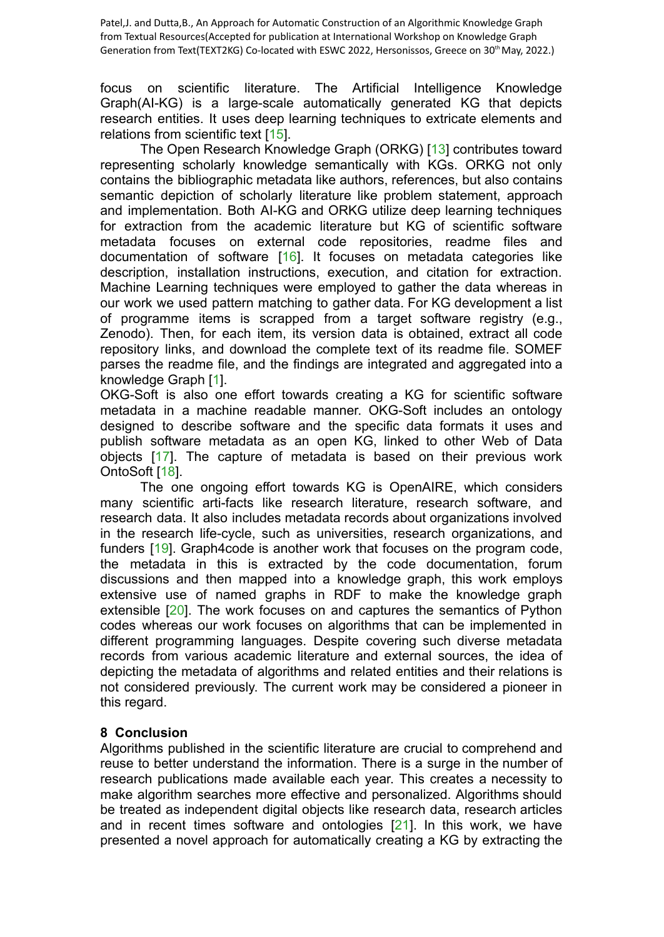focus on scientific literature. The Artificial Intelligence Knowledge Graph(AI-KG) is a large-scale automatically generated KG that depicts research entities. It uses deep learning techniques to extricate elements and relations from scientific text [15].

The Open Research Knowledge Graph (ORKG) [13] contributes toward representing scholarly knowledge semantically with KGs. ORKG not only contains the bibliographic metadata like authors, references, but also contains semantic depiction of scholarly literature like problem statement, approach and implementation. Both AI-KG and ORKG utilize deep learning techniques for extraction from the academic literature but KG of scientific software metadata focuses on external code repositories, readme files and documentation of software [16]. It focuses on metadata categories like description, installation instructions, execution, and citation for extraction. Machine Learning techniques were employed to gather the data whereas in our work we used pattern matching to gather data. For KG development a list of programme items is scrapped from a target software registry (e.g., Zenodo). Then, for each item, its version data is obtained, extract all code repository links, and download the complete text of its readme file. SOMEF parses the readme file, and the findings are integrated and aggregated into a knowledge Graph [1].

OKG-Soft is also one effort towards creating a KG for scientific software metadata in a machine readable manner. OKG-Soft includes an ontology designed to describe software and the specific data formats it uses and publish software metadata as an open KG, linked to other Web of Data objects [17]. The capture of metadata is based on their previous work OntoSoft [18].

The one ongoing effort towards KG is OpenAIRE, which considers many scientific arti-facts like research literature, research software, and research data. It also includes metadata records about organizations involved in the research life-cycle, such as universities, research organizations, and funders [19]. Graph4code is another work that focuses on the program code, the metadata in this is extracted by the code documentation, forum discussions and then mapped into a knowledge graph, this work employs extensive use of named graphs in RDF to make the knowledge graph extensible [20]. The work focuses on and captures the semantics of Python codes whereas our work focuses on algorithms that can be implemented in different programming languages. Despite covering such diverse metadata records from various academic literature and external sources, the idea of depicting the metadata of algorithms and related entities and their relations is not considered previously. The current work may be considered a pioneer in this regard.

## **8 Conclusion**

Algorithms published in the scientific literature are crucial to comprehend and reuse to better understand the information. There is a surge in the number of research publications made available each year. This creates a necessity to make algorithm searches more effective and personalized. Algorithms should be treated as independent digital objects like research data, research articles and in recent times software and ontologies [21]. In this work, we have presented a novel approach for automatically creating a KG by extracting the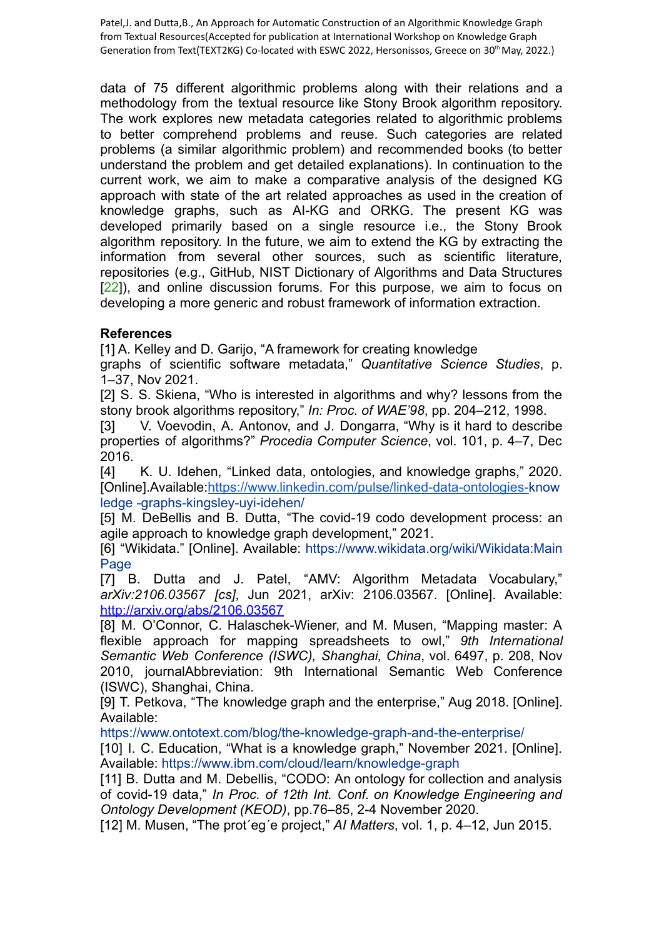data of 75 different algorithmic problems along with their relations and a methodology from the textual resource like Stony Brook algorithm repository. The work explores new metadata categories related to algorithmic problems to better comprehend problems and reuse. Such categories are related problems (a similar algorithmic problem) and recommended books (to better understand the problem and get detailed explanations). In continuation to the current work, we aim to make a comparative analysis of the designed KG approach with state of the art related approaches as used in the creation of knowledge graphs, such as AI-KG and ORKG. The present KG was developed primarily based on a single resource i.e., the Stony Brook algorithm repository. In the future, we aim to extend the KG by extracting the information from several other sources, such as scientific literature, repositories (e.g., GitHub, NIST Dictionary of Algorithms and Data Structures [22]), and online discussion forums. For this purpose, we aim to focus on developing a more generic and robust framework of information extraction.

## **References**

[1] A. Kelley and D. Garijo, "A framework for creating knowledge

graphs of scientific software metadata," *Quantitative Science Studies*, p. 1–37, Nov 2021.

[2] S. S. Skiena, "Who is interested in algorithms and why? lessons from the stony brook algorithms repository," *In: Proc. of WAE'98*, pp. 204–212, 1998.

[3] V. Voevodin, A. Antonov, and J. Dongarra, "Why is it hard to describe properties of algorithms?" *Procedia Computer Science*, vol. 101, p. 4–7, Dec 2016.

[4] K. U. Idehen, "Linked data, ontologies, and knowledge graphs," 2020. [Online].Available:[https://www.linkedin.com/pulse/linked-data-ontologies-k](https://www.linkedin.com/pulse/linked-data-ontologies-)now ledge -graphs-kingsley-uyi-idehen/

[5] M. DeBellis and B. Dutta, "The covid-19 codo development process: an agile approach to knowledge graph development," 2021.

[6] "Wikidata." [Online]. Available: https://www.wikidata.org/wiki/Wikidata:Main Page

[7] B. Dutta and J. Patel, "AMV: Algorithm Metadata Vocabulary," *arXiv:2106.03567 [cs]*, Jun 2021, arXiv: 2106.03567. [Online]. Available: <http://arxiv.org/abs/2106.03567>

[8] M. O'Connor, C. Halaschek-Wiener, and M. Musen, "Mapping master: A flexible approach for mapping spreadsheets to owl," *9th International Semantic Web Conference (ISWC), Shanghai, China*, vol. 6497, p. 208, Nov 2010, journalAbbreviation: 9th International Semantic Web Conference (ISWC), Shanghai, China.

[9] T. Petkova, "The knowledge graph and the enterprise," Aug 2018. [Online]. Available:

https://www.ontotext.com/blog/the-knowledge-graph-and-the-enterprise/

[10] I. C. Education, "What is a knowledge graph," November 2021. [Online]. Available: https://www.ibm.com/cloud/learn/knowledge-graph

[11] B. Dutta and M. Debellis, "CODO: An ontology for collection and analysis of covid-19 data," *In Proc. of 12th Int. Conf. on Knowledge Engineering and Ontology Development (KEOD)*, pp.76–85, 2-4 November 2020.

[12] M. Musen, "The prot´eg´e project," *AI Matters*, vol. 1, p. 4–12, Jun 2015.